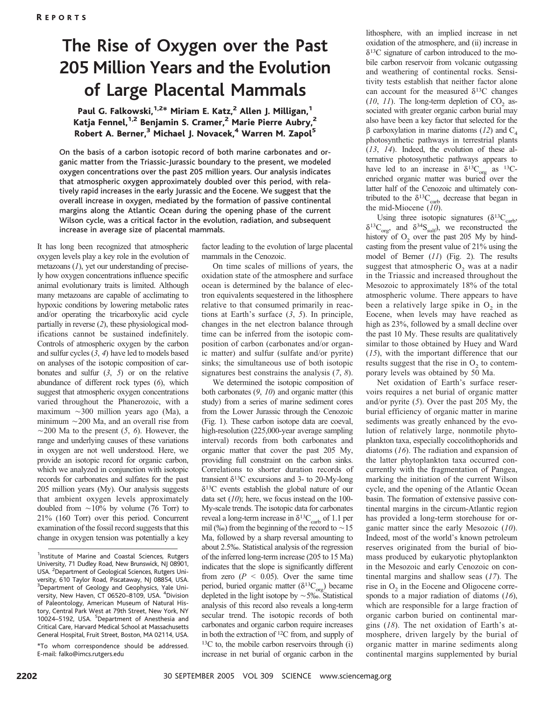# The Rise of Oxygen over the Past 205 Million Years and the Evolution of Large Placental Mammals

### Paul G. Falkowski,<sup>1,2\*</sup> Miriam E. Katz,<sup>2</sup> Allen J. Milligan,<sup>1</sup> Katja Fennel,<sup>1,2</sup> Benjamin S. Cramer,<sup>2</sup> Marie Pierre Aubry,<sup>2</sup> Robert A. Berner,<sup>3</sup> Michael J. Novacek,<sup>4</sup> Warren M. Zapol<sup>5</sup>

On the basis of a carbon isotopic record of both marine carbonates and organic matter from the Triassic-Jurassic boundary to the present, we modeled oxygen concentrations over the past 205 million years. Our analysis indicates that atmospheric oxygen approximately doubled over this period, with relatively rapid increases in the early Jurassic and the Eocene. We suggest that the overall increase in oxygen, mediated by the formation of passive continental margins along the Atlantic Ocean during the opening phase of the current Wilson cycle, was a critical factor in the evolution, radiation, and subsequent increase in average size of placental mammals.

It has long been recognized that atmospheric oxygen levels play a key role in the evolution of metazoans  $(1)$ , yet our understanding of precisely how oxygen concentrations influence specific animal evolutionary traits is limited. Although many metazoans are capable of acclimating to hypoxic conditions by lowering metabolic rates and/or operating the tricarboxylic acid cycle partially in reverse (2), these physiological modifications cannot be sustained indefinitely. Controls of atmospheric oxygen by the carbon and sulfur cycles  $(3, 4)$  have led to models based on analyses of the isotopic composition of carbonates and sulfur  $(3, 5)$  or on the relative abundance of different rock types (6), which suggest that atmospheric oxygen concentrations varied throughout the Phanerozoic, with a maximum  $\sim$ 300 million years ago (Ma), a minimum  $\sim$  200 Ma, and an overall rise from  $\sim$ 200 Ma to the present (5, 6). However, the range and underlying causes of these variations in oxygen are not well understood. Here, we provide an isotopic record for organic carbon, which we analyzed in conjunction with isotopic records for carbonates and sulfates for the past 205 million years (My). Our analysis suggests that ambient oxygen levels approximately doubled from  $\sim$ 10% by volume (76 Torr) to 21% (160 Torr) over this period. Concurrent examination of the fossil record suggests that this change in oxygen tension was potentially a key

factor leading to the evolution of large placental mammals in the Cenozoic.

On time scales of millions of years, the oxidation state of the atmosphere and surface ocean is determined by the balance of electron equivalents sequestered in the lithosphere relative to that consumed primarily in reactions at Earth's surface  $(3, 5)$ . In principle, changes in the net electron balance through time can be inferred from the isotopic composition of carbon (carbonates and/or organic matter) and sulfur (sulfate and/or pyrite) sinks; the simultaneous use of both isotopic signatures best constrains the analysis (7, 8).

We determined the isotopic composition of both carbonates (9, 10) and organic matter (this study) from a series of marine sediment cores from the Lower Jurassic through the Cenozoic (Fig. 1). These carbon isotope data are coeval, high-resolution (225,000-year average sampling interval) records from both carbonates and organic matter that cover the past 205 My, providing full constraint on the carbon sinks. Correlations to shorter duration records of transient  $\delta^{13}$ C excursions and 3- to 20-My-long  $\delta^{13}$ C events establish the global nature of our data set  $(10)$ ; here, we focus instead on the 100-My-scale trends. The isotopic data for carbonates reveal a long-term increase in  $\delta^{13}C_{\text{carb}}$  of 1.1 per mil (%) from the beginning of the record to  $\sim$  15 Ma, followed by a sharp reversal amounting to about 2.5‰. Statistical analysis of the regression of the inferred long-term increase (205 to 15 Ma) indicates that the slope is significantly different from zero ( $P \le 0.05$ ). Over the same time period, buried organic matter ( $\delta^{13}C_{\text{org}}$ ) became depleted in the light isotope by  $\sim$  5%. Statistical analysis of this record also reveals a long-term secular trend. The isotopic records of both carbonates and organic carbon require increases in both the extraction of 12C from, and supply of  $13C$  to, the mobile carbon reservoirs through (i) increase in net burial of organic carbon in the

lithosphere, with an implied increase in net oxidation of the atmosphere, and (ii) increase in  $\delta^{13}$ C signature of carbon introduced to the mobile carbon reservoir from volcanic outgassing and weathering of continental rocks. Sensitivity tests establish that neither factor alone can account for the measured  $\delta^{13}$ C changes  $(10, 11)$ . The long-term depletion of CO<sub>2</sub> associated with greater organic carbon burial may also have been a key factor that selected for the  $\beta$  carboxylation in marine diatoms (12) and C<sub>4</sub> photosynthetic pathways in terrestrial plants (13, 14). Indeed, the evolution of these alternative photosynthetic pathways appears to have led to an increase in  $\delta^{13}C_{org}$  as <sup>13</sup>Cenriched organic matter was buried over the latter half of the Cenozoic and ultimately contributed to the  $\delta^{13}C_{\text{carb}}$  decrease that began in the mid-Miocene (10).

Using three isotopic signatures ( $\delta^{13}C_{\text{carb}}$ ,  $\delta^{13}C_{\text{orp}}$ , and  $\delta^{34}S_{\text{sub}}$ , we reconstructed the history of  $O<sub>2</sub>$  over the past 205 My by hindcasting from the present value of 21% using the model of Berner (11) (Fig. 2). The results suggest that atmospheric  $O<sub>2</sub>$  was at a nadir in the Triassic and increased throughout the Mesozoic to approximately 18% of the total atmospheric volume. There appears to have been a relatively large spike in  $O<sub>2</sub>$  in the Eocene, when levels may have reached as high as 23%, followed by a small decline over the past 10 My. These results are qualitatively similar to those obtained by Huey and Ward (15), with the important difference that our results suggest that the rise in  $O<sub>2</sub>$  to contemporary levels was obtained by 50 Ma.

Net oxidation of Earth's surface reservoirs requires a net burial of organic matter and/or pyrite (5). Over the past 205 My, the burial efficiency of organic matter in marine sediments was greatly enhanced by the evolution of relatively large, nonmotile phytoplankton taxa, especially coccolithophorids and diatoms (16). The radiation and expansion of the latter phytoplankton taxa occurred concurrently with the fragmentation of Pangea, marking the initiation of the current Wilson cycle, and the opening of the Atlantic Ocean basin. The formation of extensive passive continental margins in the circum-Atlantic region has provided a long-term storehouse for organic matter since the early Mesozoic (10). Indeed, most of the world's known petroleum reserves originated from the burial of biomass produced by eukaryotic phytoplankton in the Mesozoic and early Cenozoic on continental margins and shallow seas  $(17)$ . The rise in  $O<sub>2</sub>$  in the Eocene and Oligocene corresponds to a major radiation of diatoms  $(16)$ , which are responsible for a large fraction of organic carbon buried on continental margins  $(18)$ . The net oxidation of Earth's atmosphere, driven largely by the burial of organic matter in marine sediments along continental margins supplemented by burial

<sup>&</sup>lt;sup>1</sup>Institute of Marine and Coastal Sciences, Rutgers University, 71 Dudley Road, New Brunswick, NJ 08901, USA. <sup>2</sup> Department of Geological Sciences, Rutgers University, 610 Taylor Road, Piscataway, NJ 08854, USA. <sup>3</sup>Department of Geology and Geophysics, Yale University, New Haven, CT 06520-8109, USA. <sup>4</sup>Division of Paleontology, American Museum of Natural History, Central Park West at 79th Street, New York, NY 10024-5192, USA. <sup>5</sup>Department of Anesthesia and Critical Care, Harvard Medical School at Massachusetts General Hospital, Fruit Street, Boston, MA 02114, USA.

<sup>\*</sup>To whom correspondence should be addressed. E-mail: falko@imcs.rutgers.edu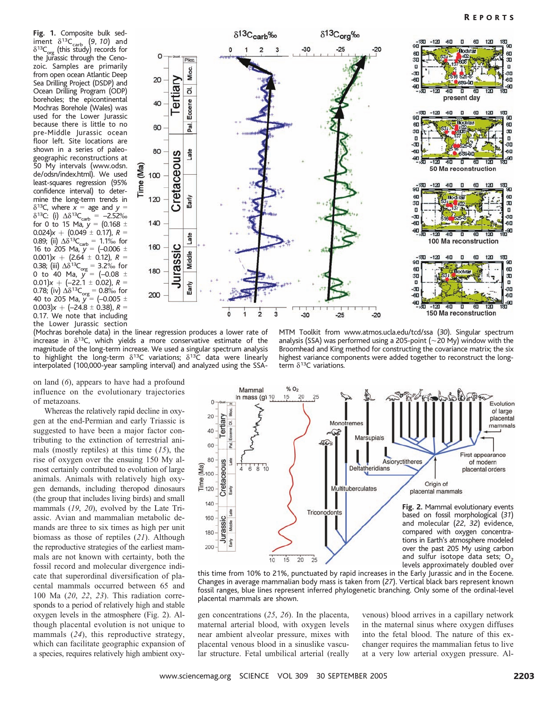Fig. 1. Composite bulk sediment  $\delta^{13}C_{\text{carb}}$  (9, 10) and  $\delta^{13}C_{\text{org}}$  (this study) records for the Jurassic through the Cenozoic. Samples are primarily from open ocean Atlantic Deep Sea Drilling Project (DSDP) and Ocean Drilling Program (ODP) boreholes; the epicontinental Mochras Borehole (Wales) was used for the Lower Jurassic because there is little to no pre-Middle Jurassic ocean floor left. Site locations are shown in a series of paleogeographic reconstructions at 50 My intervals (www.odsn. de/odsn/index.html). We used least-squares regression (95% confidence interval) to determine the long-term trends in  $\delta^{13}$ C, where  $x =$  age and  $y =$  $\delta^{13}$ C: (i)  $\Delta \delta^{13}$ C<sub>carb</sub> = -2.52%<br>for 0 to 15 Ma, y = (0.168 ±  $0.024$ ) $x + (0.049 \pm 0.17)$ ,  $R =$ 0.89; (ii)  $\Delta \delta^{13}C_{\rm carb} = 1.1\%$  for 16 to 205 Ma,  $y = (-0.006 \pm 1)$  $(0.001)x + (2.64 \pm 0.12), R =$ 0.38; (iii)  $\Delta\delta^{13}C_{\text{org}} = 3.2\%$  for<br>0 to 40 Ma,  $y = (-0.08 \pm 1)$ 0.01) $x + (-22.1 \pm 0.02)$ ,  $R =$ 0.78; (iv)  $\Delta \delta^{13}C_{\text{org}} = 0.8\%$  for<br>40 to 205 Ma,  $y = (-0.005 \pm 1)$ 0.003) $x + (-24.8 \pm 0.38)$ ,  $R =$ 0.17. We note that including the Lower Jurassic section



(Mochras borehole data) in the linear regression produces a lower rate of increase in  $\delta^{13}$ C, which yields a more conservative estimate of the magnitude of the long-term increase. We used a singular spectrum analysis to highlight the long-term  $\delta^{13}C$  variations;  $\delta^{13}\bar{C}$  data were linearly interpolated (100,000-year sampling interval) and analyzed using the SSA-

MTM Toolkit from www.atmos.ucla.edu/tcd/ssa (30). Singular spectrum analysis (SSA) was performed using a 205-point ( $\sim$ 20 My) window with the Broomhead and King method for constructing the covariance matrix; the six highest variance components were added together to reconstruct the longterm  $\delta^{13}$ C variations.

on land (6), appears to have had a profound influence on the evolutionary trajectories of metazoans.

Whereas the relatively rapid decline in oxygen at the end-Permian and early Triassic is suggested to have been a major factor contributing to the extinction of terrestrial animals (mostly reptiles) at this time  $(15)$ , the rise of oxygen over the ensuing 150 My almost certainly contributed to evolution of large animals. Animals with relatively high oxygen demands, including theropod dinosaurs (the group that includes living birds) and small mammals (19, 20), evolved by the Late Triassic. Avian and mammalian metabolic demands are three to six times as high per unit biomass as those of reptiles (21). Although the reproductive strategies of the earliest mammals are not known with certainty, both the fossil record and molecular divergence indicate that superordinal diversification of placental mammals occurred between 65 and 100 Ma (20, 22, 23). This radiation corresponds to a period of relatively high and stable oxygen levels in the atmosphere (Fig. 2). Although placental evolution is not unique to mammals (24), this reproductive strategy, which can facilitate geographic expansion of a species, requires relatively high ambient oxy-



this time from 10% to 21%, punctuated by rapid increases in the Early Jurassic and in the Eocene. Changes in average mammalian body mass is taken from (27). Vertical black bars represent known fossil ranges, blue lines represent inferred phylogenetic branching. Only some of the ordinal-level placental mammals are shown.

gen concentrations (25, 26). In the placenta, maternal arterial blood, with oxygen levels near ambient alveolar pressure, mixes with placental venous blood in a sinuslike vascular structure. Fetal umbilical arterial (really

venous) blood arrives in a capillary network in the maternal sinus where oxygen diffuses into the fetal blood. The nature of this exchanger requires the mammalian fetus to live at a very low arterial oxygen pressure. Al-